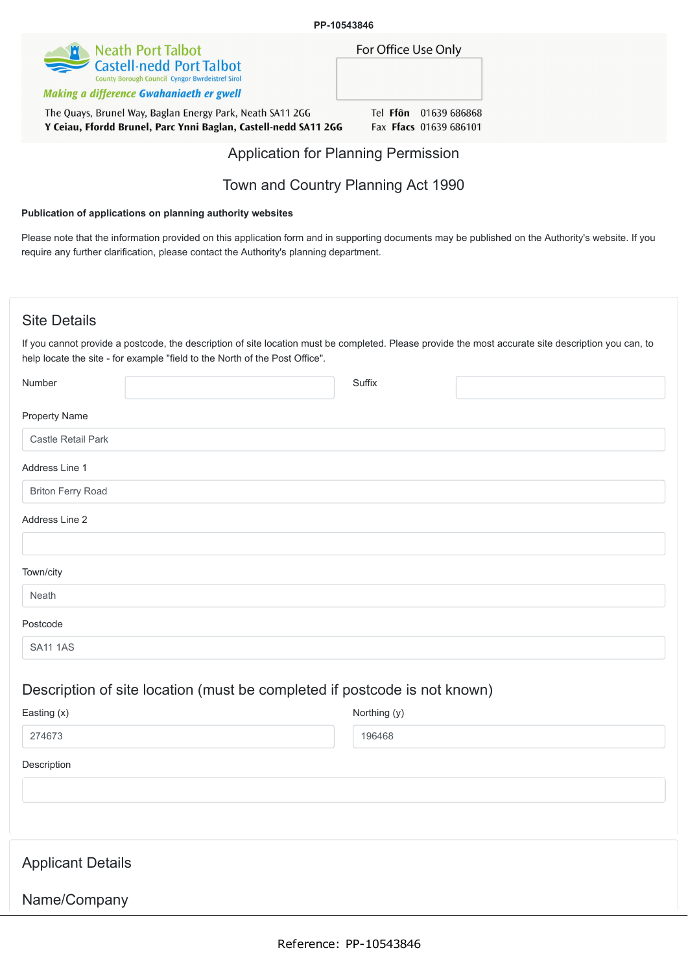

Making a difference Gwahaniaeth er gwell

The Quays, Brunel Way, Baglan Energy Park, Neath SA11 2GG Y Ceiau, Ffordd Brunel, Parc Ynni Baglan, Castell-nedd SA11 2GG Tel Ffon 01639 686868 Fax Ffacs 01639 686101

For Office Use Only

## Application for Planning Permission

## Town and Country Planning Act 1990

#### **Publication of applications on planning authority websites**

Please note that the information provided on this application form and in supporting documents may be published on the Authority's website. If you require any further clarification, please contact the Authority's planning department.

### Site Details

Name/Company

If you cannot provide a postcode, the description of site location must be completed. Please provide the most accurate site description you can, to help locate the site - for example "field to the North of the Post Office".

| Number                   |                                                                           | Suffix       |  |
|--------------------------|---------------------------------------------------------------------------|--------------|--|
| <b>Property Name</b>     |                                                                           |              |  |
| Castle Retail Park       |                                                                           |              |  |
| Address Line 1           |                                                                           |              |  |
| <b>Briton Ferry Road</b> |                                                                           |              |  |
| Address Line 2           |                                                                           |              |  |
| Town/city                |                                                                           |              |  |
| Neath                    |                                                                           |              |  |
| Postcode                 |                                                                           |              |  |
| <b>SA11 1AS</b>          |                                                                           |              |  |
|                          | Description of site location (must be completed if postcode is not known) |              |  |
| Easting (x)              |                                                                           | Northing (y) |  |
| 274673                   |                                                                           | 196468       |  |
| Description              |                                                                           |              |  |
|                          |                                                                           |              |  |
|                          |                                                                           |              |  |
| <b>Applicant Details</b> |                                                                           |              |  |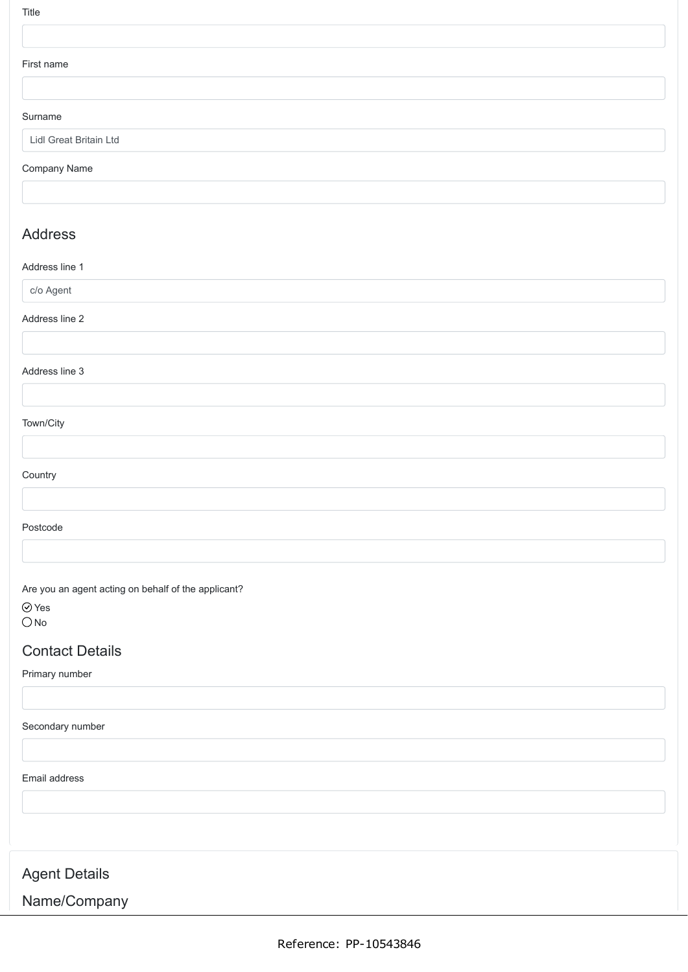| I<br>×<br>×<br>۰. |  |
|-------------------|--|

#### First name

#### Surname

Lidl Great Britain Ltd

#### Company Name

## Address

#### Address line 1

c/o Agent

#### Address line 2

#### Address line 3

### Town/City

#### **Country**

#### Postcode

Are you an agent acting on behalf of the applicant?

Yes  $O$  No

### Contact Details

### Primary number

Secondary number

#### Email address

# Agent Details

# Name/Company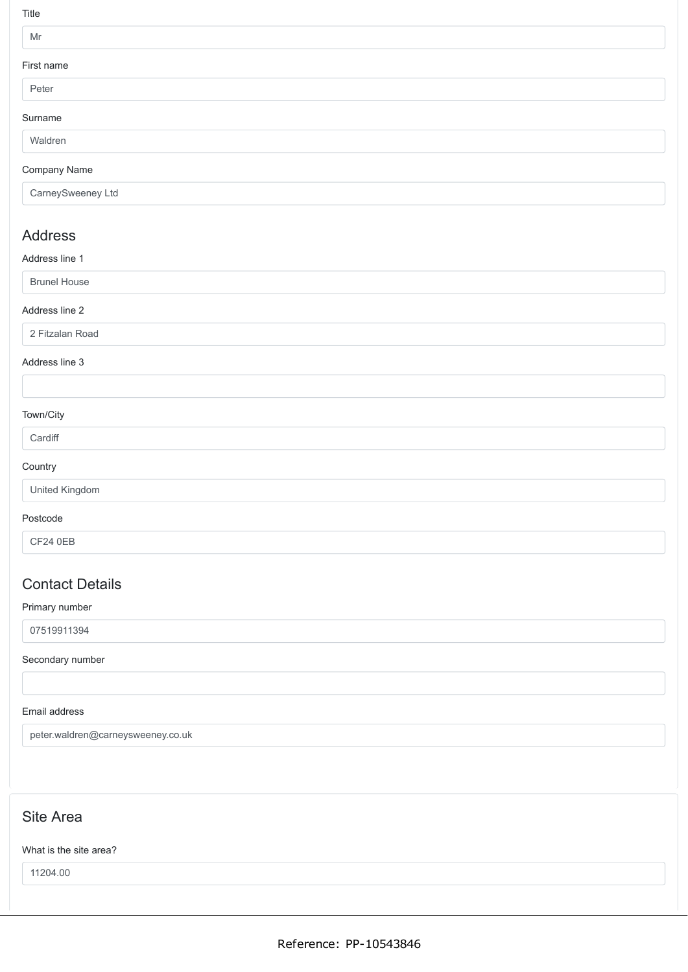Title

### Mr

### First

| First name           |  |  |  |
|----------------------|--|--|--|
| Peter                |  |  |  |
| Surname              |  |  |  |
| Waldren              |  |  |  |
| $\sim$ $\sim$ $\sim$ |  |  |  |

### Company Name

CarneySweeney Ltd

## Address

### Address line 1

Brunel House

### Address line 2

2 Fitzalan Road

### Address line 3

### Town/City

#### **Cardiff**

### **Country**

|  | United Kingdom |
|--|----------------|
|--|----------------|

### Postcode

CF24 0EB

# Contact Details

### Primary number

07519911394

### Secondary number

### Email address

peter.waldren@carneysweeney.co.uk

# Site Area

### What is the site area?

11204.00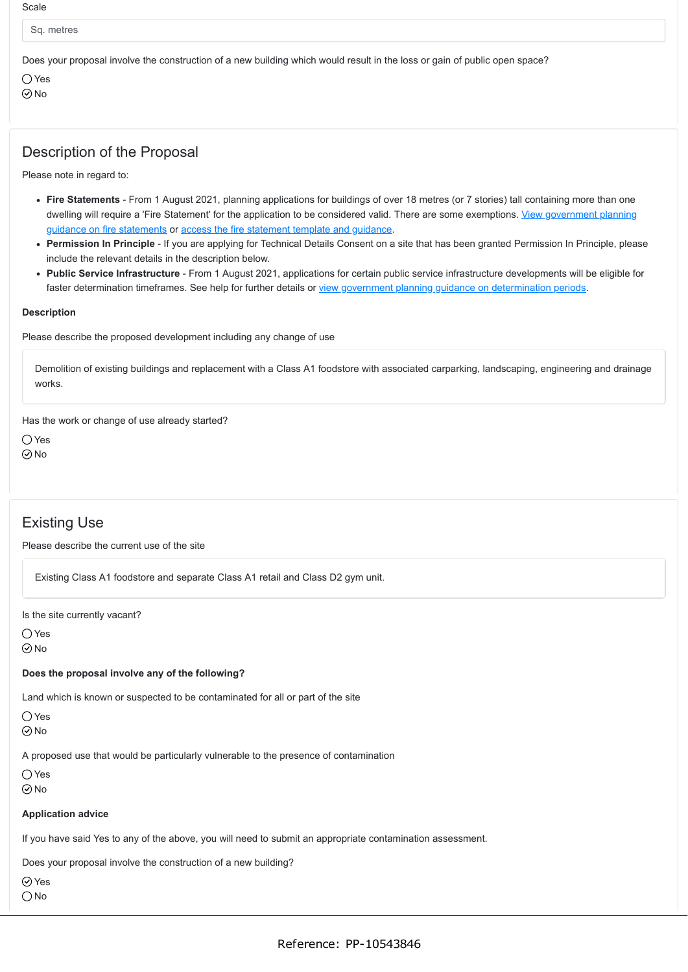Sq. metres

Does your proposal involve the construction of a new building which would result in the loss or gain of public open space?

 $\bigcap$  Yes No

## Description of the Proposal

Please note in regard to:

- **Fire Statements** From 1 August 2021, planning applications for buildings of over 18 metres (or 7 stories) tall containing more than one [dwelling will require a 'Fire Statement' for the application to be considered valid. There are some exemptions. View government planning](https://www.gov.uk/guidance/fire-safety-and-high-rise-residential-buildings-from-1-august-2021) guidance on fire statements or [access the fire statement template and guidance](https://www.gov.uk/government/publications/planning-application-forms-templates-for-local-planning-authorities#attachment_5328788).
- **Permission In Principle** If you are applying for Technical Details Consent on a site that has been granted Permission In Principle, please include the relevant details in the description below.
- **Public Service Infrastructure** From 1 August 2021, applications for certain public service infrastructure developments will be eligible for faster determination timeframes. See help for further details or [view government planning guidance on determination periods](https://www.gov.uk/guidance/determining-a-planning-application#what-are-the-time-periods-for-determining-a-planning-application).

#### **Description**

Please describe the proposed development including any change of use

Demolition of existing buildings and replacement with a Class A1 foodstore with associated carparking, landscaping, engineering and drainage works.

Has the work or change of use already started?

○ Yes  $\odot$  No

## Existing Use

Please describe the current use of the site

Existing Class A1 foodstore and separate Class A1 retail and Class D2 gym unit.

Is the site currently vacant?

 $\bigcirc$  Yes  $\odot$  No

#### **Does the proposal involve any of the following?**

Land which is known or suspected to be contaminated for all or part of the site

 $\bigcap$  Yes

 $\odot$ No

A proposed use that would be particularly vulnerable to the presence of contamination

Yes

No

#### **Application advice**

If you have said Yes to any of the above, you will need to submit an appropriate contamination assessment.

Does your proposal involve the construction of a new building?

 $\oslash$  Yes

 $\bigcirc$  No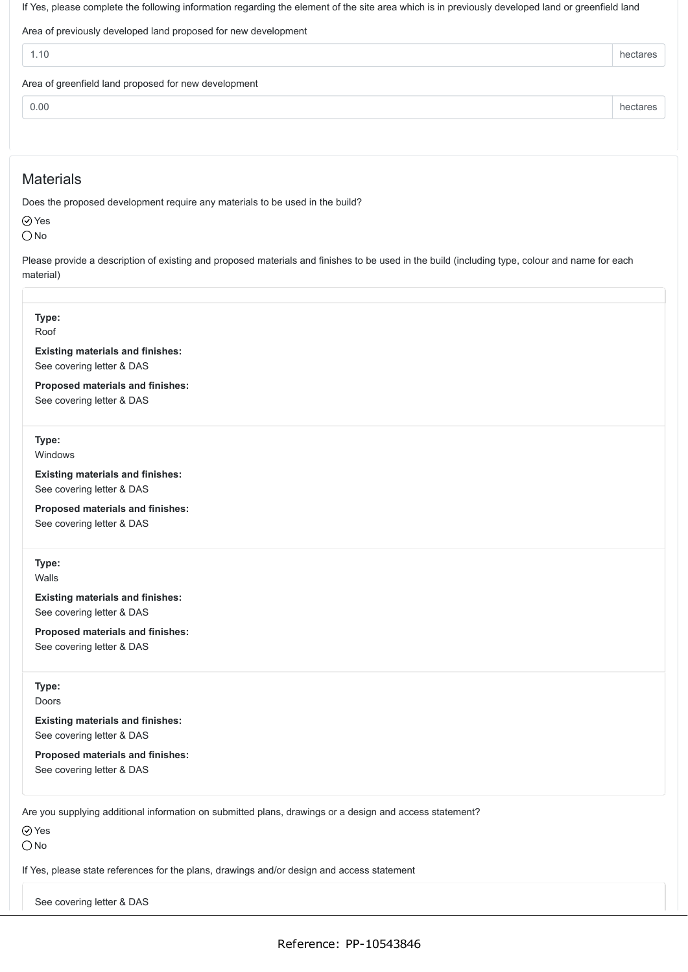If Yes, please complete the following information regarding the element of the site area which is in previously developed land or greenfield land

Area of previously developed land proposed for new development

| -11<br>. | $\cdots$<br>Пf<br>adics :<br>__ |
|----------|---------------------------------|
|          |                                 |

Area of greenfield land proposed for new development

0.00 hectares **hectares** 

## **Materials**

Does the proposed development require any materials to be used in the build?

Yes  $\bigcirc$  No

Please provide a description of existing and proposed materials and finishes to be used in the build (including type, colour and name for each material)

#### **Type:**

Roof

**Existing materials and finishes:** See covering letter & DAS

**Proposed materials and finishes:** See covering letter & DAS

**Type:**

Windows

**Existing materials and finishes:** See covering letter & DAS

**Proposed materials and finishes:** See covering letter & DAS

**Type:**

Walls

**Existing materials and finishes:** See covering letter & DAS

**Proposed materials and finishes:** See covering letter & DAS

### **Type:**

Doors

**Existing materials and finishes:** See covering letter & DAS

**Proposed materials and finishes:** See covering letter & DAS

Are you supplying additional information on submitted plans, drawings or a design and access statement?

Yes

 $\bigcirc$  No

If Yes, please state references for the plans, drawings and/or design and access statement

See covering letter & DAS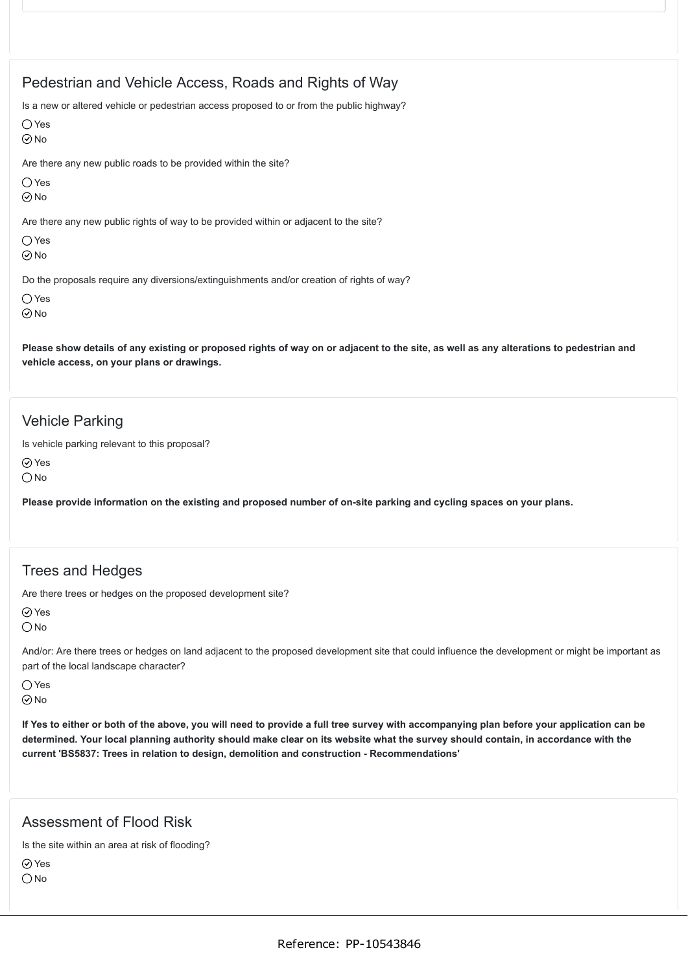## Pedestrian and Vehicle Access, Roads and Rights of Way

Is a new or altered vehicle or pedestrian access proposed to or from the public highway?

 $\bigcap$  Yes

 $\odot$ No

Are there any new public roads to be provided within the site?

 $\bigcap$  Yes

 $\odot$  No

Are there any new public rights of way to be provided within or adjacent to the site?

Yes  $\odot$  No

Do the proposals require any diversions/extinguishments and/or creation of rights of way?

 $\bigcirc$  Yes

 $\odot$ No

**Please show details of any existing or proposed rights of way on or adjacent to the site, as well as any alterations to pedestrian and vehicle access, on your plans or drawings.**

### Vehicle Parking

Is vehicle parking relevant to this proposal?

Yes

 $\bigcirc$  No

**Please provide information on the existing and proposed number of on-site parking and cycling spaces on your plans.**

## Trees and Hedges

Are there trees or hedges on the proposed development site?

Yes

 $\bigcirc$  No

And/or: Are there trees or hedges on land adjacent to the proposed development site that could influence the development or might be important as part of the local landscape character?

 $\bigcap$  Yes No

**If Yes to either or both of the above, you will need to provide a full tree survey with accompanying plan before your application can be determined. Your local planning authority should make clear on its website what the survey should contain, in accordance with the current 'BS5837: Trees in relation to design, demolition and construction - Recommendations'**

### Assessment of Flood Risk

Is the site within an area at risk of flooding?

⊙ Yes  $\bigcirc$  No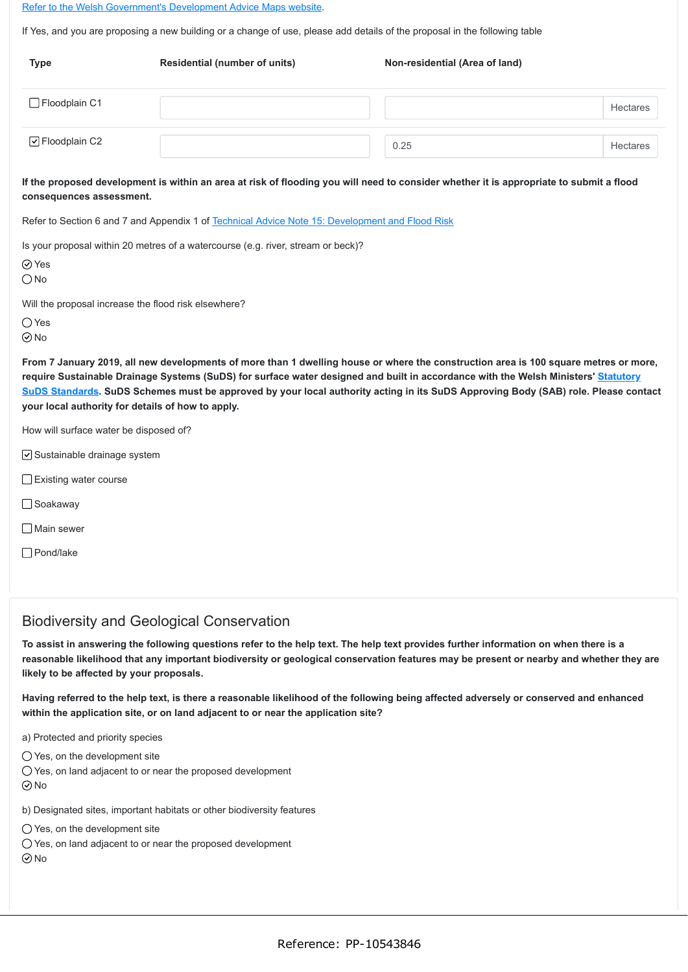[Refer to the Welsh Government's Development Advice Maps website](https://naturalresources.wales/floodriskmap?lang=en).

If Yes, and you are proposing a new building or a change of use, please add details of the proposal in the following table

| <b>Type</b>     | <b>Residential (number of units)</b> | Non-residential (Area of land) |                 |
|-----------------|--------------------------------------|--------------------------------|-----------------|
| □ Floodplain C1 |                                      |                                | <b>Hectares</b> |
| ○ Floodplain C2 |                                      | 0.25                           | <b>Hectares</b> |

**If the proposed development is within an area at risk of flooding you will need to consider whether it is appropriate to submit a flood consequences assessment.**

Refer to Section 6 and 7 and Appendix 1 of [Technical Advice Note 15: Development and Flood Risk](https://gov.wales/technical-advice-note-tan-15-development-and-flood-risk)

Is your proposal within 20 metres of a watercourse (e.g. river, stream or beck)?

| ۰. | × |
|----|---|
|    |   |

 $\bigcirc$  No

Will the proposal increase the flood risk elsewhere?

○ Yes

 $\odot$ No

**From 7 January 2019, all new developments of more than 1 dwelling house or where the construction area is 100 square metres or more, require Sustainable Drainage Systems (SuDS) for surface water designed and built in accordance with the Welsh Ministers' Statutory [SuDS Standards. SuDS Schemes must be approved by your local authority acting in its SuDS Approving Body \(SAB\) role. Please con](https://gov.wales/topics/environmentcountryside/epq/flooding/drainage/?lang=en)tact your local authority for details of how to apply.**

How will surface water be disposed of?

 $\vee$  Sustainable drainage system

- **□Existing water course**
- □ Soakaway
- $\Box$  Main sewer
- Pond/lake

## Biodiversity and Geological Conservation

**To assist in answering the following questions refer to the help text. The help text provides further information on when there is a reasonable likelihood that any important biodiversity or geological conservation features may be present or nearby and whether they are likely to be affected by your proposals.**

**Having referred to the help text, is there a reasonable likelihood of the following being affected adversely or conserved and enhanced within the application site, or on land adjacent to or near the application site?**

a) Protected and priority species

 $\bigcirc$  Yes, on the development site

Yes, on land adjacent to or near the proposed development  $\odot$  No

b) Designated sites, important habitats or other biodiversity features

Yes, on the development site

O Yes, on land adjacent to or near the proposed development

No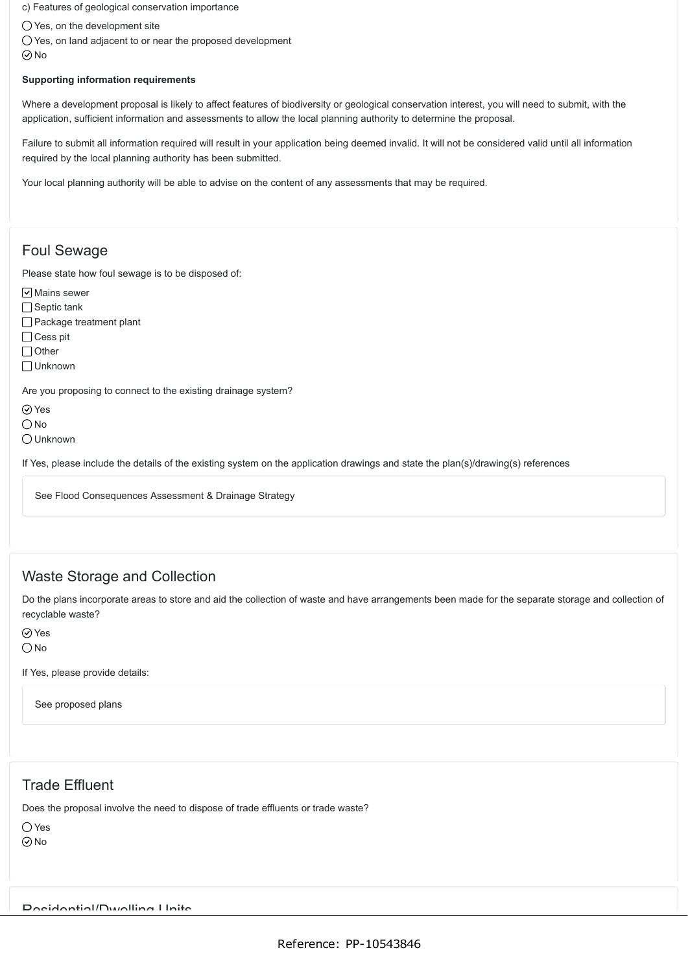c) Features of geological conservation importance

Yes, on the development site

O Yes, on land adjacent to or near the proposed development  $\odot$ No

#### **Supporting information requirements**

Where a development proposal is likely to affect features of biodiversity or geological conservation interest, you will need to submit, with the application, sufficient information and assessments to allow the local planning authority to determine the proposal.

Failure to submit all information required will result in your application being deemed invalid. It will not be considered valid until all information required by the local planning authority has been submitted.

Your local planning authority will be able to advise on the content of any assessments that may be required.

### Foul Sewage

Please state how foul sewage is to be disposed of:

 $\boxed{\triangledown}$  Mains sewer

 $\Box$  Septic tank

□ Package treatment plant

□ Cess pit

□ Other

Unknown

Are you proposing to connect to the existing drainage system?

⊙ Yes

 $\bigcirc$  No

Unknown

If Yes, please include the details of the existing system on the application drawings and state the plan(s)/drawing(s) references

See Flood Consequences Assessment & Drainage Strategy

### Waste Storage and Collection

Do the plans incorporate areas to store and aid the collection of waste and have arrangements been made for the separate storage and collection of recyclable waste?

Yes  $\bigcirc$  No

If Yes, please provide details:

See proposed plans

# Trade Effluent

Does the proposal involve the need to dispose of trade effluents or trade waste?

 $\bigcap$  Yes  $\odot$ No

Residential/Dwelling Units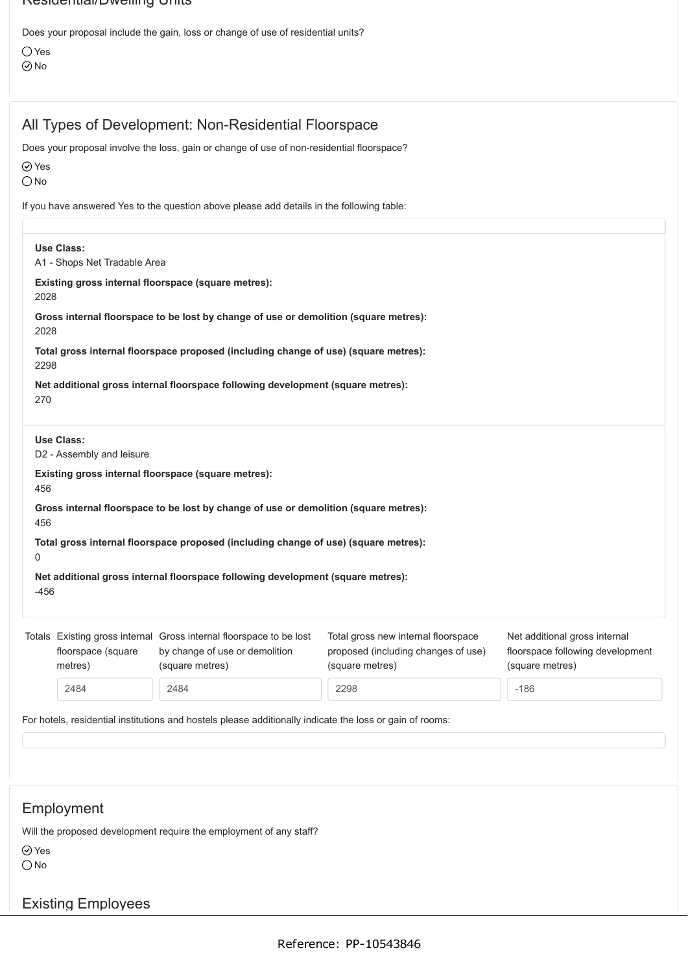Residential/Dwelling Units

Does your proposal include the gain, loss or change of use of residential units?

Yes  $\odot$ No

# All Types of Development: Non-Residential Floorspace

Does your proposal involve the loss, gain or change of use of non-residential floorspace?

Yes

 $\bigcirc$  No

If you have answered Yes to the question above please add details in the following table:

|        | <b>Use Class:</b><br>A1 - Shops Net Tradable Area                                            |                                                                                                                          |                                                                                               |                                                                                      |  |  |  |  |
|--------|----------------------------------------------------------------------------------------------|--------------------------------------------------------------------------------------------------------------------------|-----------------------------------------------------------------------------------------------|--------------------------------------------------------------------------------------|--|--|--|--|
| 2028   |                                                                                              | Existing gross internal floorspace (square metres):                                                                      |                                                                                               |                                                                                      |  |  |  |  |
|        | Gross internal floorspace to be lost by change of use or demolition (square metres):<br>2028 |                                                                                                                          |                                                                                               |                                                                                      |  |  |  |  |
| 2298   |                                                                                              | Total gross internal floorspace proposed (including change of use) (square metres):                                      |                                                                                               |                                                                                      |  |  |  |  |
| 270    |                                                                                              | Net additional gross internal floorspace following development (square metres):                                          |                                                                                               |                                                                                      |  |  |  |  |
|        | Use Class:<br>D2 - Assembly and leisure                                                      |                                                                                                                          |                                                                                               |                                                                                      |  |  |  |  |
| 456    |                                                                                              | Existing gross internal floorspace (square metres):                                                                      |                                                                                               |                                                                                      |  |  |  |  |
| 456    |                                                                                              | Gross internal floorspace to be lost by change of use or demolition (square metres):                                     |                                                                                               |                                                                                      |  |  |  |  |
| 0      |                                                                                              | Total gross internal floorspace proposed (including change of use) (square metres):                                      |                                                                                               |                                                                                      |  |  |  |  |
| $-456$ |                                                                                              | Net additional gross internal floorspace following development (square metres):                                          |                                                                                               |                                                                                      |  |  |  |  |
|        | floorspace (square<br>metres)                                                                | Totals Existing gross internal Gross internal floorspace to be lost<br>by change of use or demolition<br>(square metres) | Total gross new internal floorspace<br>proposed (including changes of use)<br>(square metres) | Net additional gross internal<br>floorspace following development<br>(square metres) |  |  |  |  |
|        | 2484                                                                                         | 2484                                                                                                                     | 2298                                                                                          | $-186$                                                                               |  |  |  |  |

# Employment

Will the proposed development require the employment of any staff?

Yes

 $\bigcirc$  No

# Existing Employees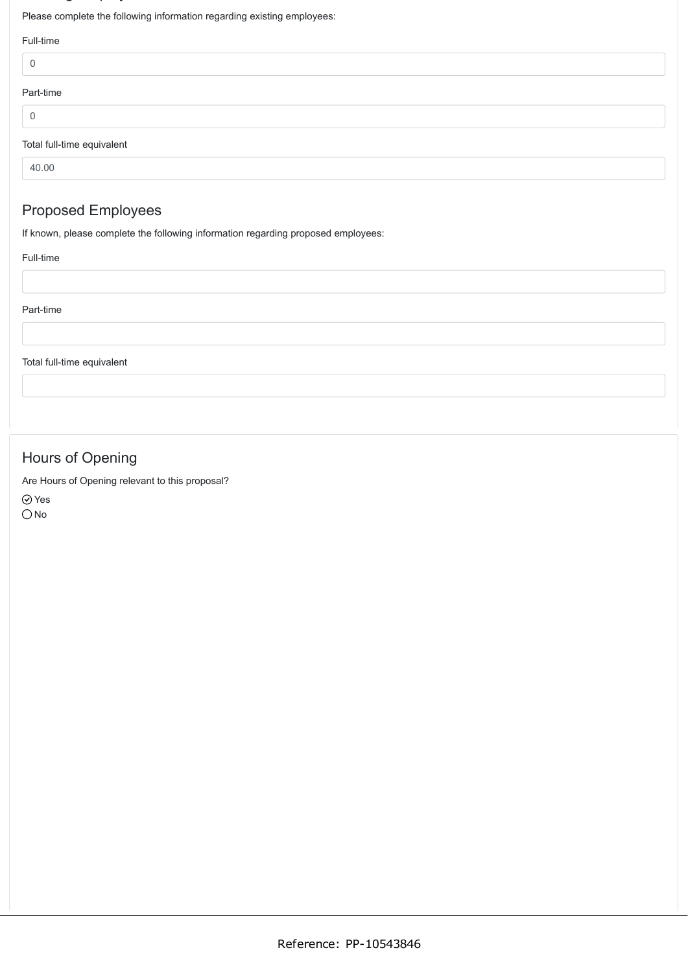# $\sim$   $\sim$   $\sim$   $\sim$

Please complete the following information regarding existing employees:

| Full-time                  |  |
|----------------------------|--|
| 0                          |  |
| Part-time                  |  |
| $\mathbf 0$                |  |
| Total full-time equivalent |  |

40.00

# Proposed Employees

If known, please complete the following information regarding proposed employees:

#### Full-time

| Part-time |  |  |  |
|-----------|--|--|--|
|           |  |  |  |
|           |  |  |  |

Total full-time equivalent

# Hours of Opening

Are Hours of Opening relevant to this proposal?

Yes  $O$  No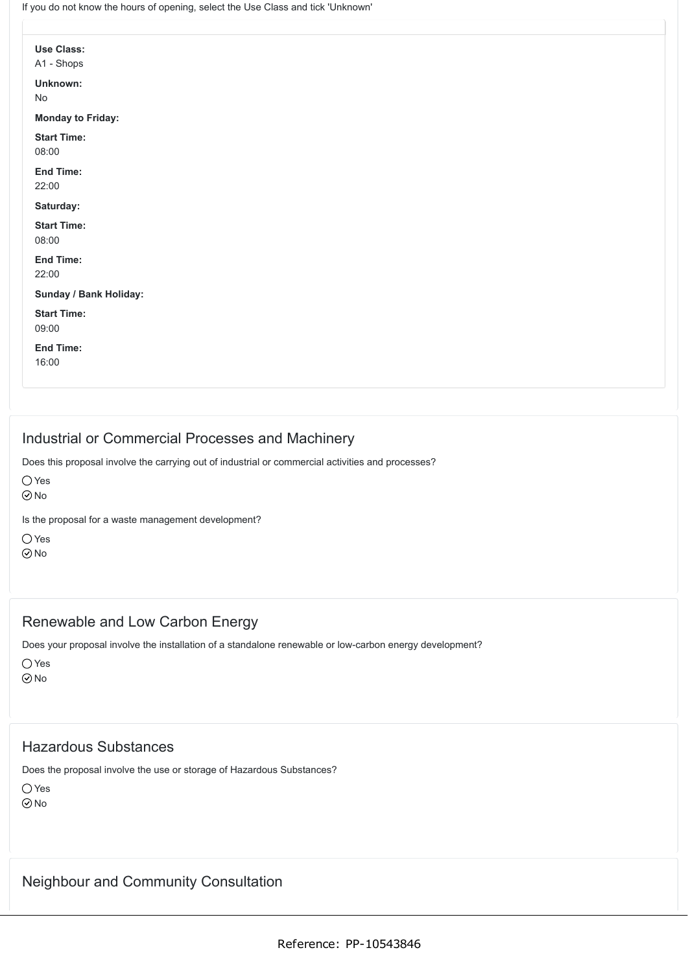If you do not know the hours of opening, select the Use Class and tick 'Unknown'

| Use Class:                   |  |  |  |
|------------------------------|--|--|--|
| A1 - Shops                   |  |  |  |
| Unknown:                     |  |  |  |
| $\operatorname{\mathsf{No}}$ |  |  |  |
| <b>Monday to Friday:</b>     |  |  |  |
| <b>Start Time:</b>           |  |  |  |
| 08:00                        |  |  |  |
| <b>End Time:</b>             |  |  |  |
| 22:00                        |  |  |  |
| Saturday:                    |  |  |  |
| <b>Start Time:</b>           |  |  |  |
| 08:00                        |  |  |  |
| End Time:                    |  |  |  |
| 22:00                        |  |  |  |
| Sunday / Bank Holiday:       |  |  |  |
| <b>Start Time:</b>           |  |  |  |
| 09:00                        |  |  |  |
| End Time:                    |  |  |  |
| 16:00                        |  |  |  |
|                              |  |  |  |
|                              |  |  |  |

# Industrial or Commercial Processes and Machinery

Does this proposal involve the carrying out of industrial or commercial activities and processes?

Yes

No

Is the proposal for a waste management development?

 $\bigcap$  Yes No

## Renewable and Low Carbon Energy

Does your proposal involve the installation of a standalone renewable or low-carbon energy development?

Yes  $\odot$ No

### Hazardous Substances

Does the proposal involve the use or storage of Hazardous Substances?

O Yes  $\odot$ No

## Neighbour and Community Consultation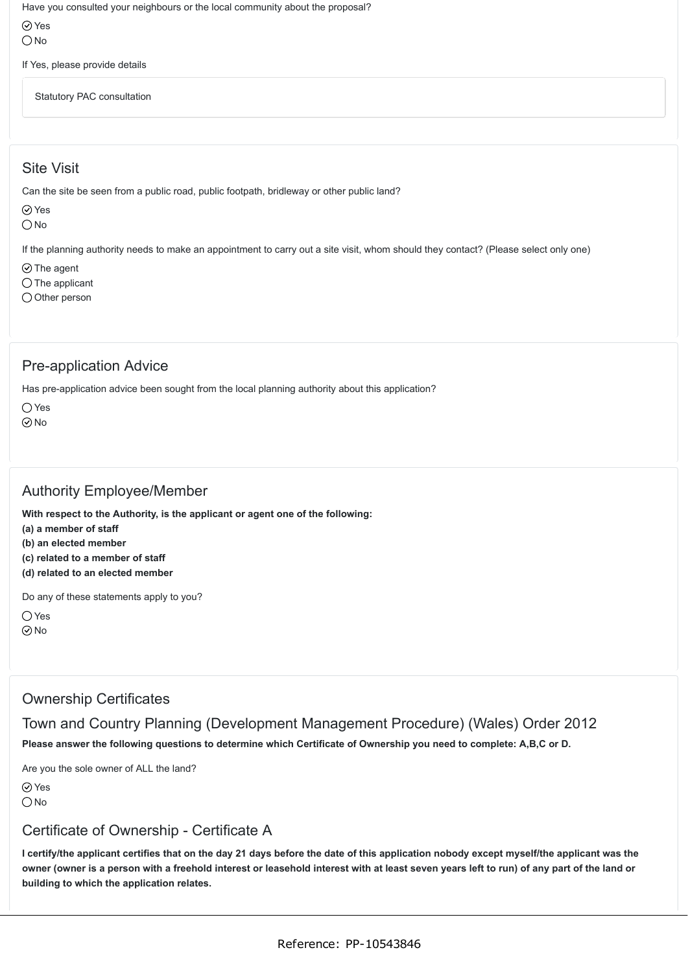Have you consulted your neighbours or the local community about the proposal?

Yes  $\bigcirc$  No

If Yes, please provide details

Statutory PAC consultation

# Site Visit

Can the site be seen from a public road, public footpath, bridleway or other public land?

 $\oslash$  Yes

 $O$  No

If the planning authority needs to make an appointment to carry out a site visit, whom should they contact? (Please select only one)

 $\odot$  The agent

 $\bigcirc$  The applicant

 $\bigcirc$  Other person

## Pre-application Advice

Has pre-application advice been sought from the local planning authority about this application?

○ Yes

 $\odot$ No

# Authority Employee/Member

**With respect to the Authority, is the applicant or agent one of the following:**

**(a) a member of staff**

**(b) an elected member**

**(c) related to a member of staff**

**(d) related to an elected member**

Do any of these statements apply to you?

 $\bigcap$  Yes  $\odot$  No

## Ownership Certificates

Town and Country Planning (Development Management Procedure) (Wales) Order 2012

**Please answer the following questions to determine which Certificate of Ownership you need to complete: A,B,C or D.**

Are you the sole owner of ALL the land?

Yes  $\bigcirc$  No

## Certificate of Ownership - Certificate A

**I certify/the applicant certifies that on the day 21 days before the date of this application nobody except myself/the applicant was the owner (owner is a person with a freehold interest or leasehold interest with at least seven years left to run) of any part of the land or building to which the application relates.**